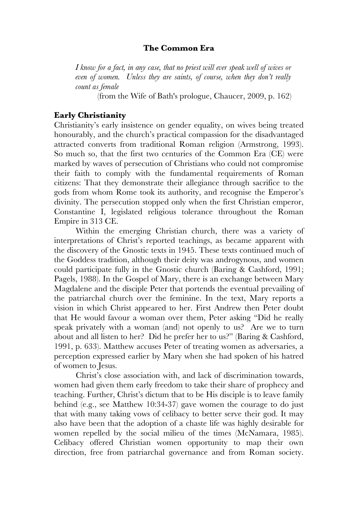### **The Common Era**

*I know for a fact, in any case, that no priest will ever speak well of wives or even of women. Unless they are saints, of course, when they don't really count as female*

(from the Wife of Bath's prologue, Chaucer, 2009, p. 162)

#### **Early Christianity**

Christianity's early insistence on gender equality, on wives being treated honourably, and the church's practical compassion for the disadvantaged attracted converts from traditional Roman religion (Armstrong, 1993). So much so, that the first two centuries of the Common Era (CE) were marked by waves of persecution of Christians who could not compromise their faith to comply with the fundamental requirements of Roman citizens: That they demonstrate their allegiance through sacrifice to the gods from whom Rome took its authority, and recognise the Emperor's divinity. The persecution stopped only when the first Christian emperor, Constantine I, legislated religious tolerance throughout the Roman Empire in 313 CE.

Within the emerging Christian church, there was a variety of interpretations of Christ's reported teachings, as became apparent with the discovery of the Gnostic texts in 1945. These texts continued much of the Goddess tradition, although their deity was androgynous, and women could participate fully in the Gnostic church (Baring & Cashford, 1991; Pagels, 1988). In the Gospel of Mary, there is an exchange between Mary Magdalene and the disciple Peter that portends the eventual prevailing of the patriarchal church over the feminine. In the text, Mary reports a vision in which Christ appeared to her. First Andrew then Peter doubt that He would favour a woman over them, Peter asking "Did he really speak privately with a woman (and) not openly to us? Are we to turn about and all listen to her? Did he prefer her to us?" (Baring & Cashford, 1991, p. 633). Matthew accuses Peter of treating women as adversaries, a perception expressed earlier by Mary when she had spoken of his hatred of women to Jesus.

Christ's close association with, and lack of discrimination towards, women had given them early freedom to take their share of prophecy and teaching. Further, Christ's dictum that to be His disciple is to leave family behind (e.g., see Matthew 10:34-37) gave women the courage to do just that with many taking vows of celibacy to better serve their god. It may also have been that the adoption of a chaste life was highly desirable for women repelled by the social milieu of the times (McNamara, 1985). Celibacy offered Christian women opportunity to map their own direction, free from patriarchal governance and from Roman society.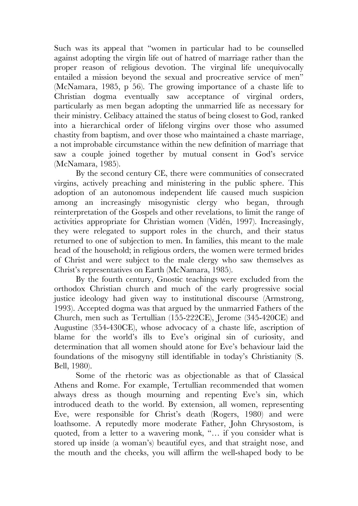Such was its appeal that "women in particular had to be counselled against adopting the virgin life out of hatred of marriage rather than the proper reason of religious devotion. The virginal life unequivocally entailed a mission beyond the sexual and procreative service of men" (McNamara, 1985, p 56). The growing importance of a chaste life to Christian dogma eventually saw acceptance of virginal orders, particularly as men began adopting the unmarried life as necessary for their ministry. Celibacy attained the status of being closest to God, ranked into a hierarchical order of lifelong virgins over those who assumed chastity from baptism, and over those who maintained a chaste marriage, a not improbable circumstance within the new definition of marriage that saw a couple joined together by mutual consent in God's service (McNamara, 1985).

By the second century CE, there were communities of consecrated virgins, actively preaching and ministering in the public sphere. This adoption of an autonomous independent life caused much suspicion among an increasingly misogynistic clergy who began, through reinterpretation of the Gospels and other revelations, to limit the range of activities appropriate for Christian women (Vidén, 1997). Increasingly, they were relegated to support roles in the church, and their status returned to one of subjection to men. In families, this meant to the male head of the household; in religious orders, the women were termed brides of Christ and were subject to the male clergy who saw themselves as Christ's representatives on Earth (McNamara, 1985).

By the fourth century, Gnostic teachings were excluded from the orthodox Christian church and much of the early progressive social justice ideology had given way to institutional discourse (Armstrong, 1993). Accepted dogma was that argued by the unmarried Fathers of the Church, men such as Tertullian (155-222CE), Jerome (345-420CE) and Augustine (354-430CE), whose advocacy of a chaste life, ascription of blame for the world's ills to Eve's original sin of curiosity, and determination that all women should atone for Eve's behaviour laid the foundations of the misogyny still identifiable in today's Christianity (S. Bell, 1980).

Some of the rhetoric was as objectionable as that of Classical Athens and Rome. For example, Tertullian recommended that women always dress as though mourning and repenting Eve's sin, which introduced death to the world. By extension, all women, representing Eve, were responsible for Christ's death (Rogers, 1980) and were loathsome. A reputedly more moderate Father, John Chrysostom, is quoted, from a letter to a wavering monk, "… if you consider what is stored up inside (a woman's) beautiful eyes, and that straight nose, and the mouth and the cheeks, you will affirm the well-shaped body to be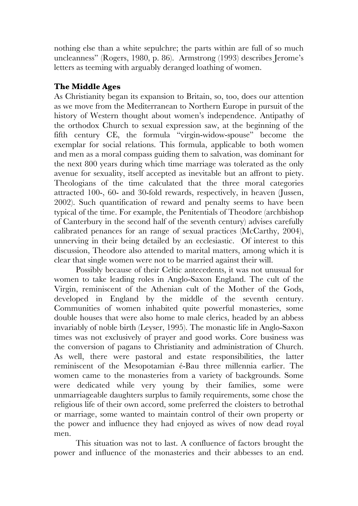nothing else than a white sepulchre; the parts within are full of so much uncleanness" (Rogers, 1980, p. 86). Armstrong (1993) describes Jerome's letters as teeming with arguably deranged loathing of women.

# **The Middle Ages**

As Christianity began its expansion to Britain, so, too, does our attention as we move from the Mediterranean to Northern Europe in pursuit of the history of Western thought about women's independence. Antipathy of the orthodox Church to sexual expression saw, at the beginning of the fifth century CE, the formula "virgin-widow-spouse" become the exemplar for social relations. This formula, applicable to both women and men as a moral compass guiding them to salvation, was dominant for the next 800 years during which time marriage was tolerated as the only avenue for sexuality, itself accepted as inevitable but an affront to piety. Theologians of the time calculated that the three moral categories attracted 100-, 60- and 30-fold rewards, respectively, in heaven (Jussen, 2002). Such quantification of reward and penalty seems to have been typical of the time. For example, the Penitentials of Theodore (archbishop of Canterbury in the second half of the seventh century) advises carefully calibrated penances for an range of sexual practices (McCarthy, 2004), unnerving in their being detailed by an ecclesiastic. Of interest to this discussion, Theodore also attended to marital matters, among which it is clear that single women were not to be married against their will.

Possibly because of their Celtic antecedents, it was not unusual for women to take leading roles in Anglo-Saxon England. The cult of the Virgin, reminiscent of the Athenian cult of the Mother of the Gods, developed in England by the middle of the seventh century. Communities of women inhabited quite powerful monasteries, some double houses that were also home to male clerics, headed by an abbess invariably of noble birth (Leyser, 1995). The monastic life in Anglo-Saxon times was not exclusively of prayer and good works. Core business was the conversion of pagans to Christianity and administration of Church. As well, there were pastoral and estate responsibilities, the latter reminiscent of the Mesopotamian é-Bau three millennia earlier. The women came to the monasteries from a variety of backgrounds. Some were dedicated while very young by their families, some were unmarriageable daughters surplus to family requirements, some chose the religious life of their own accord, some preferred the cloisters to betrothal or marriage, some wanted to maintain control of their own property or the power and influence they had enjoyed as wives of now dead royal men.

This situation was not to last. A confluence of factors brought the power and influence of the monasteries and their abbesses to an end.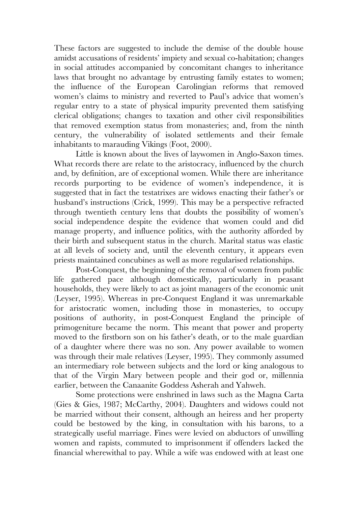These factors are suggested to include the demise of the double house amidst accusations of residents' impiety and sexual co-habitation; changes in social attitudes accompanied by concomitant changes to inheritance laws that brought no advantage by entrusting family estates to women; the influence of the European Carolingian reforms that removed women's claims to ministry and reverted to Paul's advice that women's regular entry to a state of physical impurity prevented them satisfying clerical obligations; changes to taxation and other civil responsibilities that removed exemption status from monasteries; and, from the ninth century, the vulnerability of isolated settlements and their female inhabitants to marauding Vikings (Foot, 2000).

Little is known about the lives of laywomen in Anglo-Saxon times. What records there are relate to the aristocracy, influenced by the church and, by definition, are of exceptional women. While there are inheritance records purporting to be evidence of women's independence, it is suggested that in fact the testatrixes are widows enacting their father's or husband's instructions (Crick, 1999). This may be a perspective refracted through twentieth century lens that doubts the possibility of women's social independence despite the evidence that women could and did manage property, and influence politics, with the authority afforded by their birth and subsequent status in the church. Marital status was elastic at all levels of society and, until the eleventh century, it appears even priests maintained concubines as well as more regularised relationships.

Post-Conquest, the beginning of the removal of women from public life gathered pace although domestically, particularly in peasant households, they were likely to act as joint managers of the economic unit (Leyser, 1995). Whereas in pre-Conquest England it was unremarkable for aristocratic women, including those in monasteries, to occupy positions of authority, in post-Conquest England the principle of primogeniture became the norm. This meant that power and property moved to the firstborn son on his father's death, or to the male guardian of a daughter where there was no son. Any power available to women was through their male relatives (Leyser, 1995). They commonly assumed an intermediary role between subjects and the lord or king analogous to that of the Virgin Mary between people and their god or, millennia earlier, between the Canaanite Goddess Asherah and Yahweh.

Some protections were enshrined in laws such as the Magna Carta (Gies & Gies, 1987; McCarthy, 2004). Daughters and widows could not be married without their consent, although an heiress and her property could be bestowed by the king, in consultation with his barons, to a strategically useful marriage. Fines were levied on abductors of unwilling women and rapists, commuted to imprisonment if offenders lacked the financial wherewithal to pay. While a wife was endowed with at least one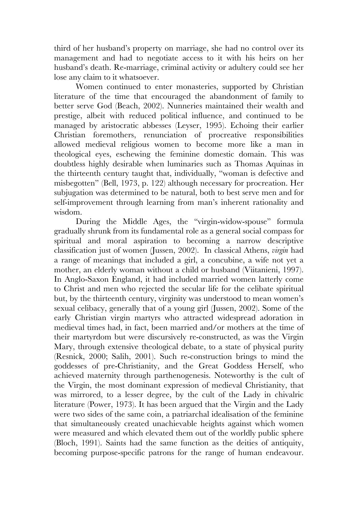third of her husband's property on marriage, she had no control over its management and had to negotiate access to it with his heirs on her husband's death. Re-marriage, criminal activity or adultery could see her lose any claim to it whatsoever.

Women continued to enter monasteries, supported by Christian literature of the time that encouraged the abandonment of family to better serve God (Beach, 2002). Nunneries maintained their wealth and prestige, albeit with reduced political influence, and continued to be managed by aristocratic abbesses (Leyser, 1995). Echoing their earlier Christian foremothers, renunciation of procreative responsibilities allowed medieval religious women to become more like a man in theological eyes, eschewing the feminine domestic domain. This was doubtless highly desirable when luminaries such as Thomas Aquinas in the thirteenth century taught that, individually, "woman is defective and misbegotten" (Bell, 1973, p. 122) although necessary for procreation. Her subjugation was determined to be natural, both to best serve men and for self-improvement through learning from man's inherent rationality and wisdom.

During the Middle Ages, the "virgin-widow-spouse" formula gradually shrunk from its fundamental role as a general social compass for spiritual and moral aspiration to becoming a narrow descriptive classification just of women (Jussen, 2002). In classical Athens, *virgin* had a range of meanings that included a girl, a concubine, a wife not yet a mother, an elderly woman without a child or husband (Viitanieni, 1997). In Anglo-Saxon England, it had included married women latterly come to Christ and men who rejected the secular life for the celibate spiritual but, by the thirteenth century, virginity was understood to mean women's sexual celibacy, generally that of a young girl (Jussen, 2002). Some of the early Christian virgin martyrs who attracted widespread adoration in medieval times had, in fact, been married and/or mothers at the time of their martyrdom but were discursively re-constructed, as was the Virgin Mary, through extensive theological debate, to a state of physical purity (Resnick, 2000; Salih, 2001). Such re-construction brings to mind the goddesses of pre-Christianity, and the Great Goddess Herself, who achieved maternity through parthenogenesis. Noteworthy is the cult of the Virgin, the most dominant expression of medieval Christianity, that was mirrored, to a lesser degree, by the cult of the Lady in chivalric literature (Power, 1973). It has been argued that the Virgin and the Lady were two sides of the same coin, a patriarchal idealisation of the feminine that simultaneously created unachievable heights against which women were measured and which elevated them out of the worldly public sphere (Bloch, 1991). Saints had the same function as the deities of antiquity, becoming purpose-specific patrons for the range of human endeavour.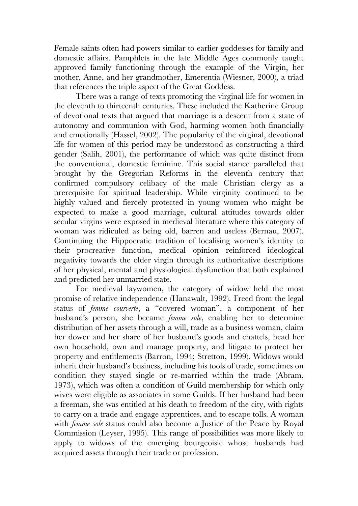Female saints often had powers similar to earlier goddesses for family and domestic affairs. Pamphlets in the late Middle Ages commonly taught approved family functioning through the example of the Virgin, her mother, Anne, and her grandmother, Emerentia (Wiesner, 2000), a triad that references the triple aspect of the Great Goddess.

There was a range of texts promoting the virginal life for women in the eleventh to thirteenth centuries. These included the Katherine Group of devotional texts that argued that marriage is a descent from a state of autonomy and communion with God, harming women both financially and emotionally (Hassel, 2002). The popularity of the virginal, devotional life for women of this period may be understood as constructing a third gender (Salih, 2001), the performance of which was quite distinct from the conventional, domestic feminine. This social stance paralleled that brought by the Gregorian Reforms in the eleventh century that confirmed compulsory celibacy of the male Christian clergy as a prerequisite for spiritual leadership. While virginity continued to be highly valued and fiercely protected in young women who might be expected to make a good marriage, cultural attitudes towards older secular virgins were exposed in medieval literature where this category of woman was ridiculed as being old, barren and useless (Bernau, 2007). Continuing the Hippocratic tradition of localising women's identity to their procreative function, medical opinion reinforced ideological negativity towards the older virgin through its authoritative descriptions of her physical, mental and physiological dysfunction that both explained and predicted her unmarried state.

For medieval laywomen, the category of widow held the most promise of relative independence (Hanawalt, 1992). Freed from the legal status of *femme courverte*, a "covered woman", a component of her husband's person, she became *femme sole*, enabling her to determine distribution of her assets through a will, trade as a business woman, claim her dower and her share of her husband's goods and chattels, head her own household, own and manage property, and litigate to protect her property and entitlements (Barron, 1994; Stretton, 1999). Widows would inherit their husband's business, including his tools of trade, sometimes on condition they stayed single or re-married within the trade (Abram, 1973), which was often a condition of Guild membership for which only wives were eligible as associates in some Guilds. If her husband had been a freeman, she was entitled at his death to freedom of the city, with rights to carry on a trade and engage apprentices, and to escape tolls. A woman with *femme sole* status could also become a Justice of the Peace by Royal Commission (Leyser, 1995). This range of possibilities was more likely to apply to widows of the emerging bourgeoisie whose husbands had acquired assets through their trade or profession.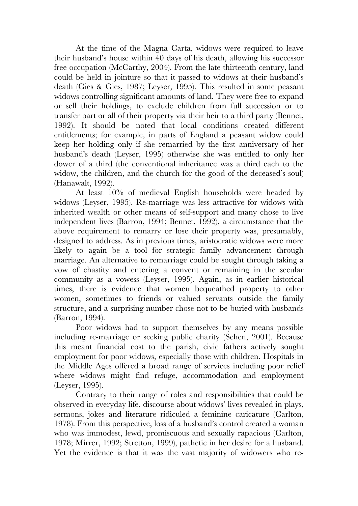At the time of the Magna Carta, widows were required to leave their husband's house within 40 days of his death, allowing his successor free occupation (McCarthy, 2004). From the late thirteenth century, land could be held in jointure so that it passed to widows at their husband's death (Gies & Gies, 1987; Leyser, 1995). This resulted in some peasant widows controlling significant amounts of land. They were free to expand or sell their holdings, to exclude children from full succession or to transfer part or all of their property via their heir to a third party (Bennet, 1992). It should be noted that local conditions created different entitlements; for example, in parts of England a peasant widow could keep her holding only if she remarried by the first anniversary of her husband's death (Leyser, 1995) otherwise she was entitled to only her dower of a third (the conventional inheritance was a third each to the widow, the children, and the church for the good of the deceased's soul) (Hanawalt, 1992).

At least 10% of medieval English households were headed by widows (Leyser, 1995). Re-marriage was less attractive for widows with inherited wealth or other means of self-support and many chose to live independent lives (Barron, 1994; Bennet, 1992), a circumstance that the above requirement to remarry or lose their property was, presumably, designed to address. As in previous times, aristocratic widows were more likely to again be a tool for strategic family advancement through marriage. An alternative to remarriage could be sought through taking a vow of chastity and entering a convent or remaining in the secular community as a vowess (Leyser, 1995). Again, as in earlier historical times, there is evidence that women bequeathed property to other women, sometimes to friends or valued servants outside the family structure, and a surprising number chose not to be buried with husbands (Barron, 1994).

Poor widows had to support themselves by any means possible including re-marriage or seeking public charity (Schen, 2001). Because this meant financial cost to the parish, civic fathers actively sought employment for poor widows, especially those with children. Hospitals in the Middle Ages offered a broad range of services including poor relief where widows might find refuge, accommodation and employment (Leyser, 1995).

Contrary to their range of roles and responsibilities that could be observed in everyday life, discourse about widows' lives revealed in plays, sermons, jokes and literature ridiculed a feminine caricature (Carlton, 1978). From this perspective, loss of a husband's control created a woman who was immodest, lewd, promiscuous and sexually rapacious (Carlton, 1978; Mirrer, 1992; Stretton, 1999), pathetic in her desire for a husband. Yet the evidence is that it was the vast majority of widowers who re-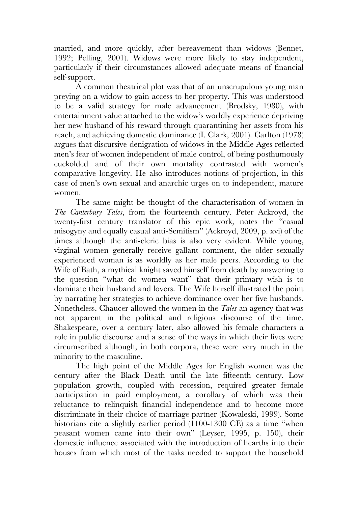married, and more quickly, after bereavement than widows (Bennet, 1992; Pelling, 2001). Widows were more likely to stay independent, particularly if their circumstances allowed adequate means of financial self-support.

A common theatrical plot was that of an unscrupulous young man preying on a widow to gain access to her property. This was understood to be a valid strategy for male advancement (Brodsky, 1980), with entertainment value attached to the widow's worldly experience depriving her new husband of his reward through quarantining her assets from his reach, and achieving domestic dominance (I. Clark, 2001). Carlton (1978) argues that discursive denigration of widows in the Middle Ages reflected men's fear of women independent of male control, of being posthumously cuckolded and of their own mortality contrasted with women's comparative longevity. He also introduces notions of projection, in this case of men's own sexual and anarchic urges on to independent, mature women.

The same might be thought of the characterisation of women in *The Canterbury Tales*, from the fourteenth century. Peter Ackroyd, the twenty-first century translator of this epic work, notes the "casual misogyny and equally casual anti-Semitism" (Ackroyd, 2009, p. xvi) of the times although the anti-cleric bias is also very evident. While young, virginal women generally receive gallant comment, the older sexually experienced woman is as worldly as her male peers. According to the Wife of Bath, a mythical knight saved himself from death by answering to the question "what do women want" that their primary wish is to dominate their husband and lovers. The Wife herself illustrated the point by narrating her strategies to achieve dominance over her five husbands. Nonetheless, Chaucer allowed the women in the *Tales* an agency that was not apparent in the political and religious discourse of the time. Shakespeare, over a century later, also allowed his female characters a role in public discourse and a sense of the ways in which their lives were circumscribed although, in both corpora, these were very much in the minority to the masculine.

The high point of the Middle Ages for English women was the century after the Black Death until the late fifteenth century. Low population growth, coupled with recession, required greater female participation in paid employment, a corollary of which was their reluctance to relinquish financial independence and to become more discriminate in their choice of marriage partner (Kowaleski, 1999). Some historians cite a slightly earlier period (1100-1300 CE) as a time "when peasant women came into their own" (Leyser, 1995, p. 150), their domestic influence associated with the introduction of hearths into their houses from which most of the tasks needed to support the household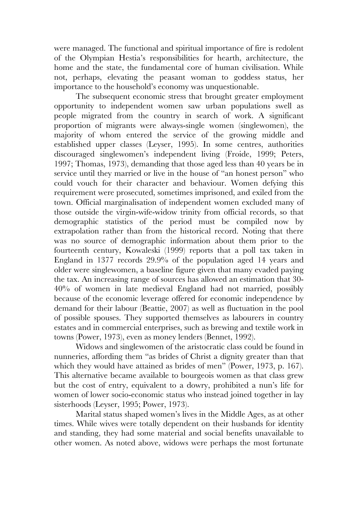were managed. The functional and spiritual importance of fire is redolent of the Olympian Hestia's responsibilities for hearth, architecture, the home and the state, the fundamental core of human civilisation. While not, perhaps, elevating the peasant woman to goddess status, her importance to the household's economy was unquestionable.

The subsequent economic stress that brought greater employment opportunity to independent women saw urban populations swell as people migrated from the country in search of work. A significant proportion of migrants were always-single women (singlewomen), the majority of whom entered the service of the growing middle and established upper classes (Leyser, 1995). In some centres, authorities discouraged singlewomen's independent living (Froide, 1999; Peters, 1997; Thomas, 1973), demanding that those aged less than 40 years be in service until they married or live in the house of "an honest person" who could vouch for their character and behaviour. Women defying this requirement were prosecuted, sometimes imprisoned, and exiled from the town. Official marginalisation of independent women excluded many of those outside the virgin-wife-widow trinity from official records, so that demographic statistics of the period must be compiled now by extrapolation rather than from the historical record. Noting that there was no source of demographic information about them prior to the fourteenth century, Kowaleski (1999) reports that a poll tax taken in England in 1377 records 29.9% of the population aged 14 years and older were singlewomen, a baseline figure given that many evaded paying the tax. An increasing range of sources has allowed an estimation that 30- 40% of women in late medieval England had not married, possibly because of the economic leverage offered for economic independence by demand for their labour (Beattie, 2007) as well as fluctuation in the pool of possible spouses. They supported themselves as labourers in country estates and in commercial enterprises, such as brewing and textile work in towns (Power, 1973), even as money lenders (Bennet, 1992).

Widows and singlewomen of the aristocratic class could be found in nunneries, affording them "as brides of Christ a dignity greater than that which they would have attained as brides of men" (Power, 1973, p. 167). This alternative became available to bourgeois women as that class grew but the cost of entry, equivalent to a dowry, prohibited a nun's life for women of lower socio-economic status who instead joined together in lay sisterhoods (Leyser, 1995; Power, 1973).

Marital status shaped women's lives in the Middle Ages, as at other times. While wives were totally dependent on their husbands for identity and standing, they had some material and social benefits unavailable to other women. As noted above, widows were perhaps the most fortunate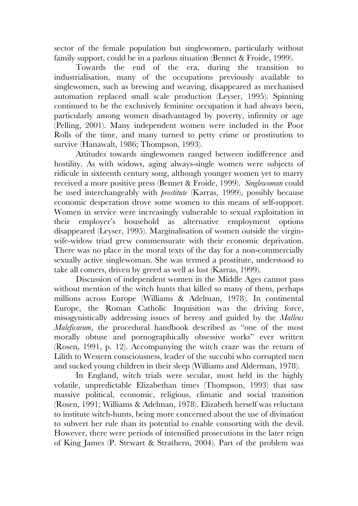sector of the female population but singlewomen, particularly without family support, could be in a parlous situation (Bennet & Froide, 1999).

Towards the end of the era, during the transition to industrialisation, many of the occupations previously available to singlewomen, such as brewing and weaving, disappeared as mechanised automation replaced small scale production (Leyser, 1995). Spinning continued to be the exclusively feminine occupation it had always been, particularly among women disadvantaged by poverty, infirmity or age (Pelling, 2001). Many independent women were included in the Poor Rolls of the time, and many turned to petty crime or prostitution to survive (Hanawalt, 1986; Thompson, 1993).

Attitudes towards singlewomen ranged between indifference and hostility. As with widows, aging always-single women were subjects of ridicule in sixteenth century song, although younger women yet to marry received a more positive press (Bennet & Froide, 1999). *Singlewoman* could be used interchangeably with *prostitute* (Karras, 1999), possibly because economic desperation drove some women to this means of self-support. Women in service were increasingly vulnerable to sexual exploitation in their employer's household as alternative employment options disappeared (Leyser, 1995). Marginalisation of women outside the virginwife-widow triad grew commensurate with their economic deprivation. There was no place in the moral texts of the day for a non-commercially sexually active singlewoman. She was termed a prostitute, understood to take all comers, driven by greed as well as lust (Karras, 1999).

Discussion of independent women in the Middle Ages cannot pass without mention of the witch hunts that killed so many of them, perhaps millions across Europe (Williams & Adelman, 1978). In continental Europe, the Roman Catholic Inquisition was the driving force, misogynistically addressing issues of heresy and guided by the *Malleus Maleficarum*, the procedural handbook described as "one of the most morally obtuse and pornographically obsessive works" ever written (Rosen, 1991, p. 12). Accompanying the witch craze was the return of Lilith to Western consciousness, leader of the succubi who corrupted men and sucked young children in their sleep (Williams and Alderman, 1978).

In England, witch trials were secular, most held in the highly volatile, unpredictable Elizabethan times (Thompson, 1993) that saw massive political, economic, religious, climatic and social transition (Rosen, 1991; Williams & Adelman, 1978). Elizabeth herself was reluctant to institute witch-hunts, being more concerned about the use of divination to subvert her rule than its potential to enable consorting with the devil. However, there were periods of intensified prosecutions in the later reign of King James (P. Stewart & Strathern, 2004). Part of the problem was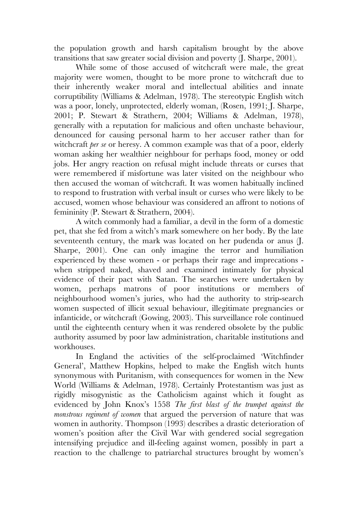the population growth and harsh capitalism brought by the above transitions that saw greater social division and poverty (J. Sharpe, 2001).

While some of those accused of witchcraft were male, the great majority were women, thought to be more prone to witchcraft due to their inherently weaker moral and intellectual abilities and innate corruptibility (Williams & Adelman, 1978). The stereotypic English witch was a poor, lonely, unprotected, elderly woman, (Rosen, 1991; J. Sharpe, 2001; P. Stewart & Strathern, 2004; Williams & Adelman, 1978), generally with a reputation for malicious and often unchaste behaviour, denounced for causing personal harm to her accuser rather than for witchcraft *per se* or heresy. A common example was that of a poor, elderly woman asking her wealthier neighbour for perhaps food, money or odd jobs. Her angry reaction on refusal might include threats or curses that were remembered if misfortune was later visited on the neighbour who then accused the woman of witchcraft. It was women habitually inclined to respond to frustration with verbal insult or curses who were likely to be accused, women whose behaviour was considered an affront to notions of femininity (P. Stewart & Strathern, 2004).

A witch commonly had a familiar, a devil in the form of a domestic pet, that she fed from a witch's mark somewhere on her body. By the late seventeenth century, the mark was located on her pudenda or anus (J. Sharpe, 2001). One can only imagine the terror and humiliation experienced by these women - or perhaps their rage and imprecations when stripped naked, shaved and examined intimately for physical evidence of their pact with Satan. The searches were undertaken by women, perhaps matrons of poor institutions or members of neighbourhood women's juries, who had the authority to strip-search women suspected of illicit sexual behaviour, illegitimate pregnancies or infanticide, or witchcraft (Gowing, 2003). This surveillance role continued until the eighteenth century when it was rendered obsolete by the public authority assumed by poor law administration, charitable institutions and workhouses.

In England the activities of the self-proclaimed 'Witchfinder General', Matthew Hopkins, helped to make the English witch hunts synonymous with Puritanism, with consequences for women in the New World (Williams & Adelman, 1978). Certainly Protestantism was just as rigidly misogynistic as the Catholicism against which it fought as evidenced by John Knox's 1558 *The first blast of the trumpet against the monstrous regiment of women* that argued the perversion of nature that was women in authority. Thompson (1993) describes a drastic deterioration of women's position after the Civil War with gendered social segregation intensifying prejudice and ill-feeling against women, possibly in part a reaction to the challenge to patriarchal structures brought by women's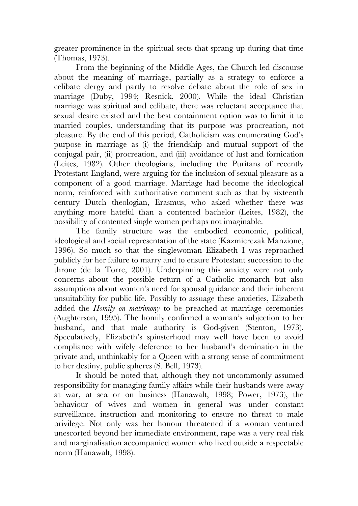greater prominence in the spiritual sects that sprang up during that time (Thomas, 1973).

From the beginning of the Middle Ages, the Church led discourse about the meaning of marriage, partially as a strategy to enforce a celibate clergy and partly to resolve debate about the role of sex in marriage (Duby, 1994; Resnick, 2000). While the ideal Christian marriage was spiritual and celibate, there was reluctant acceptance that sexual desire existed and the best containment option was to limit it to married couples, understanding that its purpose was procreation, not pleasure. By the end of this period, Catholicism was enumerating God's purpose in marriage as (i) the friendship and mutual support of the conjugal pair, (ii) procreation, and (iii) avoidance of lust and fornication (Leites, 1982). Other theologians, including the Puritans of recently Protestant England, were arguing for the inclusion of sexual pleasure as a component of a good marriage. Marriage had become the ideological norm, reinforced with authoritative comment such as that by sixteenth century Dutch theologian, Erasmus, who asked whether there was anything more hateful than a contented bachelor (Leites, 1982), the possibility of contented single women perhaps not imaginable.

The family structure was the embodied economic, political, ideological and social representation of the state (Kazmierczak Manzione, 1996). So much so that the singlewoman Elizabeth I was reproached publicly for her failure to marry and to ensure Protestant succession to the throne (de la Torre, 2001). Underpinning this anxiety were not only concerns about the possible return of a Catholic monarch but also assumptions about women's need for spousal guidance and their inherent unsuitability for public life. Possibly to assuage these anxieties, Elizabeth added the *Homily on matrimony* to be preached at marriage ceremonies (Aughterson, 1995). The homily confirmed a woman's subjection to her husband, and that male authority is God-given (Stenton, 1973). Speculatively, Elizabeth's spinsterhood may well have been to avoid compliance with wifely deference to her husband's domination in the private and, unthinkably for a Queen with a strong sense of commitment to her destiny, public spheres (S. Bell, 1973).

It should be noted that, although they not uncommonly assumed responsibility for managing family affairs while their husbands were away at war, at sea or on business (Hanawalt, 1998; Power, 1973), the behaviour of wives and women in general was under constant surveillance, instruction and monitoring to ensure no threat to male privilege. Not only was her honour threatened if a woman ventured unescorted beyond her immediate environment, rape was a very real risk and marginalisation accompanied women who lived outside a respectable norm (Hanawalt, 1998).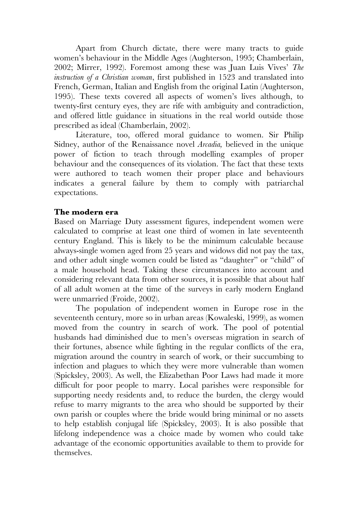Apart from Church dictate, there were many tracts to guide women's behaviour in the Middle Ages (Aughterson, 1995; Chamberlain, 2002; Mirrer, 1992). Foremost among these was Juan Luis Vives' *The instruction of a Christian woman*, first published in 1523 and translated into French, German, Italian and English from the original Latin (Aughterson, 1995). These texts covered all aspects of women's lives although, to twenty-first century eyes, they are rife with ambiguity and contradiction, and offered little guidance in situations in the real world outside those prescribed as ideal (Chamberlain, 2002).

Literature, too, offered moral guidance to women. Sir Philip Sidney, author of the Renaissance novel *Arcadia,* believed in the unique power of fiction to teach through modelling examples of proper behaviour and the consequences of its violation. The fact that these texts were authored to teach women their proper place and behaviours indicates a general failure by them to comply with patriarchal expectations.

# **The modern era**

Based on Marriage Duty assessment figures, independent women were calculated to comprise at least one third of women in late seventeenth century England. This is likely to be the minimum calculable because always-single women aged from 25 years and widows did not pay the tax, and other adult single women could be listed as "daughter" or "child" of a male household head. Taking these circumstances into account and considering relevant data from other sources, it is possible that about half of all adult women at the time of the surveys in early modern England were unmarried (Froide, 2002).

The population of independent women in Europe rose in the seventeenth century, more so in urban areas (Kowaleski, 1999), as women moved from the country in search of work. The pool of potential husbands had diminished due to men's overseas migration in search of their fortunes, absence while fighting in the regular conflicts of the era, migration around the country in search of work, or their succumbing to infection and plagues to which they were more vulnerable than women (Spicksley, 2003). As well, the Elizabethan Poor Laws had made it more difficult for poor people to marry. Local parishes were responsible for supporting needy residents and, to reduce the burden, the clergy would refuse to marry migrants to the area who should be supported by their own parish or couples where the bride would bring minimal or no assets to help establish conjugal life (Spicksley, 2003). It is also possible that lifelong independence was a choice made by women who could take advantage of the economic opportunities available to them to provide for themselves.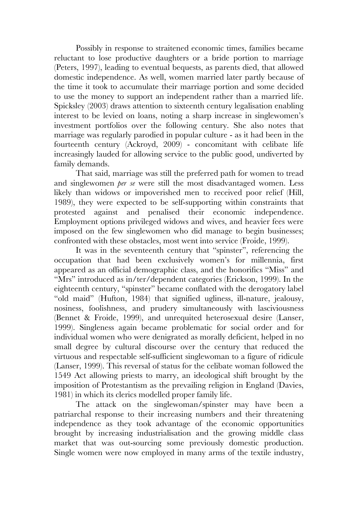Possibly in response to straitened economic times, families became reluctant to lose productive daughters or a bride portion to marriage (Peters, 1997), leading to eventual bequests, as parents died, that allowed domestic independence. As well, women married later partly because of the time it took to accumulate their marriage portion and some decided to use the money to support an independent rather than a married life. Spicksley (2003) draws attention to sixteenth century legalisation enabling interest to be levied on loans, noting a sharp increase in singlewomen's investment portfolios over the following century. She also notes that marriage was regularly parodied in popular culture - as it had been in the fourteenth century (Ackroyd, 2009) - concomitant with celibate life increasingly lauded for allowing service to the public good, undiverted by family demands.

That said, marriage was still the preferred path for women to tread and singlewomen *per se* were still the most disadvantaged women. Less likely than widows or impoverished men to received poor relief (Hill, 1989), they were expected to be self-supporting within constraints that protested against and penalised their economic independence. Employment options privileged widows and wives, and heavier fees were imposed on the few singlewomen who did manage to begin businesses; confronted with these obstacles, most went into service (Froide, 1999).

It was in the seventeenth century that "spinster", referencing the occupation that had been exclusively women's for millennia, first appeared as an official demographic class, and the honorifics "Miss" and "Mrs" introduced as in/ter/dependent categories (Erickson, 1999). In the eighteenth century, "spinster" became conflated with the derogatory label "old maid" (Hufton, 1984) that signified ugliness, ill-nature, jealousy, nosiness, foolishness, and prudery simultaneously with lasciviousness (Bennet & Froide, 1999), and unrequited heterosexual desire (Lanser, 1999). Singleness again became problematic for social order and for individual women who were denigrated as morally deficient, helped in no small degree by cultural discourse over the century that reduced the virtuous and respectable self-sufficient singlewoman to a figure of ridicule (Lanser, 1999). This reversal of status for the celibate woman followed the 1549 Act allowing priests to marry, an ideological shift brought by the imposition of Protestantism as the prevailing religion in England (Davies, 1981) in which its clerics modelled proper family life.

The attack on the singlewoman/spinster may have been a patriarchal response to their increasing numbers and their threatening independence as they took advantage of the economic opportunities brought by increasing industrialisation and the growing middle class market that was out-sourcing some previously domestic production. Single women were now employed in many arms of the textile industry,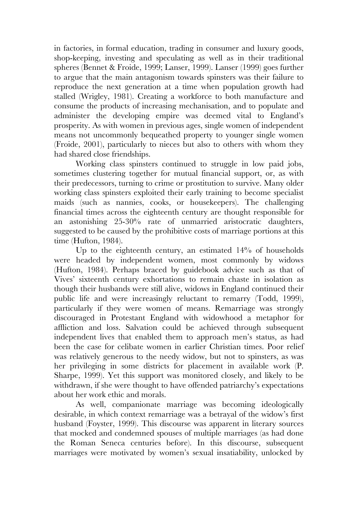in factories, in formal education, trading in consumer and luxury goods, shop-keeping, investing and speculating as well as in their traditional spheres (Bennet & Froide, 1999; Lanser, 1999). Lanser (1999) goes further to argue that the main antagonism towards spinsters was their failure to reproduce the next generation at a time when population growth had stalled (Wrigley, 1981). Creating a workforce to both manufacture and consume the products of increasing mechanisation, and to populate and administer the developing empire was deemed vital to England's prosperity. As with women in previous ages, single women of independent means not uncommonly bequeathed property to younger single women (Froide, 2001), particularly to nieces but also to others with whom they had shared close friendships.

Working class spinsters continued to struggle in low paid jobs, sometimes clustering together for mutual financial support, or, as with their predecessors, turning to crime or prostitution to survive. Many older working class spinsters exploited their early training to become specialist maids (such as nannies, cooks, or housekeepers). The challenging financial times across the eighteenth century are thought responsible for an astonishing 25-30% rate of unmarried aristocratic daughters, suggested to be caused by the prohibitive costs of marriage portions at this time (Hufton, 1984).

Up to the eighteenth century, an estimated 14% of households were headed by independent women, most commonly by widows (Hufton, 1984). Perhaps braced by guidebook advice such as that of Vives' sixteenth century exhortations to remain chaste in isolation as though their husbands were still alive, widows in England continued their public life and were increasingly reluctant to remarry (Todd, 1999), particularly if they were women of means. Remarriage was strongly discouraged in Protestant England with widowhood a metaphor for affliction and loss. Salvation could be achieved through subsequent independent lives that enabled them to approach men's status, as had been the case for celibate women in earlier Christian times. Poor relief was relatively generous to the needy widow, but not to spinsters, as was her privileging in some districts for placement in available work (P. Sharpe, 1999). Yet this support was monitored closely, and likely to be withdrawn, if she were thought to have offended patriarchy's expectations about her work ethic and morals.

As well, companionate marriage was becoming ideologically desirable, in which context remarriage was a betrayal of the widow's first husband (Foyster, 1999). This discourse was apparent in literary sources that mocked and condemned spouses of multiple marriages (as had done the Roman Seneca centuries before). In this discourse, subsequent marriages were motivated by women's sexual insatiability, unlocked by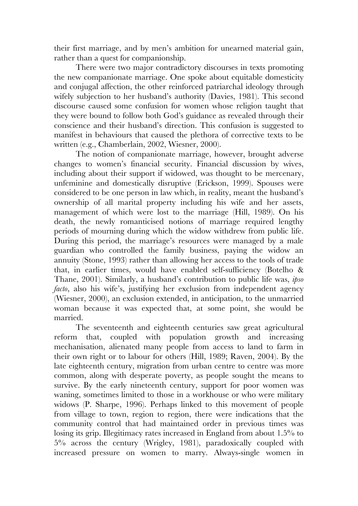their first marriage, and by men's ambition for unearned material gain, rather than a quest for companionship.

There were two major contradictory discourses in texts promoting the new companionate marriage. One spoke about equitable domesticity and conjugal affection, the other reinforced patriarchal ideology through wifely subjection to her husband's authority (Davies, 1981). This second discourse caused some confusion for women whose religion taught that they were bound to follow both God's guidance as revealed through their conscience and their husband's direction. This confusion is suggested to manifest in behaviours that caused the plethora of corrective texts to be written (e.g., Chamberlain, 2002, Wiesner, 2000).

The notion of companionate marriage, however, brought adverse changes to women's financial security. Financial discussion by wives, including about their support if widowed, was thought to be mercenary, unfeminine and domestically disruptive (Erickson, 1999). Spouses were considered to be one person in law which, in reality, meant the husband's ownership of all marital property including his wife and her assets, management of which were lost to the marriage (Hill, 1989). On his death, the newly romanticised notions of marriage required lengthy periods of mourning during which the widow withdrew from public life. During this period, the marriage's resources were managed by a male guardian who controlled the family business, paying the widow an annuity (Stone, 1993) rather than allowing her access to the tools of trade that, in earlier times, would have enabled self-sufficiency (Botelho & Thane, 2001). Similarly, a husband's contribution to public life was, *ipso facto*, also his wife's, justifying her exclusion from independent agency (Wiesner, 2000), an exclusion extended, in anticipation, to the unmarried woman because it was expected that, at some point, she would be married.

The seventeenth and eighteenth centuries saw great agricultural reform that, coupled with population growth and increasing mechanisation, alienated many people from access to land to farm in their own right or to labour for others (Hill, 1989; Raven, 2004). By the late eighteenth century, migration from urban centre to centre was more common, along with desperate poverty, as people sought the means to survive. By the early nineteenth century, support for poor women was waning, sometimes limited to those in a workhouse or who were military widows (P. Sharpe, 1996). Perhaps linked to this movement of people from village to town, region to region, there were indications that the community control that had maintained order in previous times was losing its grip. Illegitimacy rates increased in England from about 1.5% to 5% across the century (Wrigley, 1981), paradoxically coupled with increased pressure on women to marry. Always-single women in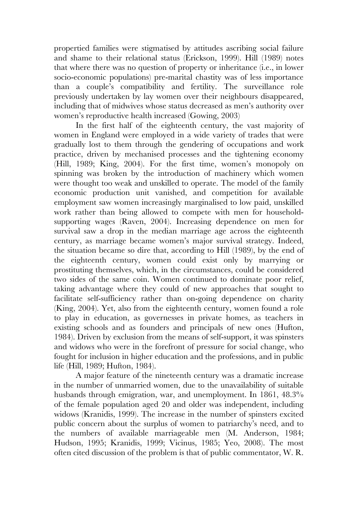propertied families were stigmatised by attitudes ascribing social failure and shame to their relational status (Erickson, 1999). Hill (1989) notes that where there was no question of property or inheritance (i.e., in lower socio-economic populations) pre-marital chastity was of less importance than a couple's compatibility and fertility. The surveillance role previously undertaken by lay women over their neighbours disappeared, including that of midwives whose status decreased as men's authority over women's reproductive health increased (Gowing, 2003)

In the first half of the eighteenth century, the vast majority of women in England were employed in a wide variety of trades that were gradually lost to them through the gendering of occupations and work practice, driven by mechanised processes and the tightening economy (Hill, 1989; King, 2004). For the first time, women's monopoly on spinning was broken by the introduction of machinery which women were thought too weak and unskilled to operate. The model of the family economic production unit vanished, and competition for available employment saw women increasingly marginalised to low paid, unskilled work rather than being allowed to compete with men for householdsupporting wages (Raven, 2004). Increasing dependence on men for survival saw a drop in the median marriage age across the eighteenth century, as marriage became women's major survival strategy. Indeed, the situation became so dire that, according to Hill (1989), by the end of the eighteenth century, women could exist only by marrying or prostituting themselves, which, in the circumstances, could be considered two sides of the same coin. Women continued to dominate poor relief, taking advantage where they could of new approaches that sought to facilitate self-sufficiency rather than on-going dependence on charity (King, 2004). Yet, also from the eighteenth century, women found a role to play in education, as governesses in private homes, as teachers in existing schools and as founders and principals of new ones (Hufton, 1984). Driven by exclusion from the means of self-support, it was spinsters and widows who were in the forefront of pressure for social change, who fought for inclusion in higher education and the professions, and in public life (Hill, 1989; Hufton, 1984).

A major feature of the nineteenth century was a dramatic increase in the number of unmarried women, due to the unavailability of suitable husbands through emigration, war, and unemployment. In 1861, 48.3% of the female population aged 20 and older was independent, including widows (Kranidis, 1999). The increase in the number of spinsters excited public concern about the surplus of women to patriarchy's need, and to the numbers of available marriageable men (M. Anderson, 1984; Hudson, 1995; Kranidis, 1999; Vicinus, 1985; Yeo, 2008). The most often cited discussion of the problem is that of public commentator, W. R.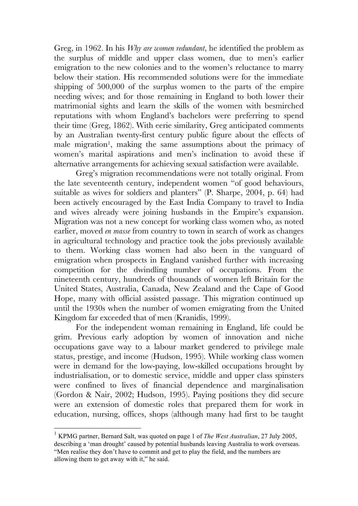Greg, in 1962. In his *Why are women redundant*, he identified the problem as the surplus of middle and upper class women, due to men's earlier emigration to the new colonies and to the women's reluctance to marry below their station. His recommended solutions were for the immediate shipping of 500,000 of the surplus women to the parts of the empire needing wives; and for those remaining in England to both lower their matrimonial sights and learn the skills of the women with besmirched reputations with whom England's bachelors were preferring to spend their time (Greg, 1862). With eerie similarity, Greg anticipated comments by an Australian twenty-first century public figure about the effects of male migration<sup>1</sup>, making the same assumptions about the primacy of women's marital aspirations and men's inclination to avoid these if alternative arrangements for achieving sexual satisfaction were available.

Greg's migration recommendations were not totally original. From the late seventeenth century, independent women "of good behaviours, suitable as wives for soldiers and planters" (P. Sharpe, 2004, p. 64) had been actively encouraged by the East India Company to travel to India and wives already were joining husbands in the Empire's expansion. Migration was not a new concept for working class women who, as noted earlier, moved *en masse* from country to town in search of work as changes in agricultural technology and practice took the jobs previously available to them. Working class women had also been in the vanguard of emigration when prospects in England vanished further with increasing competition for the dwindling number of occupations. From the nineteenth century, hundreds of thousands of women left Britain for the United States, Australia, Canada, New Zealand and the Cape of Good Hope, many with official assisted passage. This migration continued up until the 1930s when the number of women emigrating from the United Kingdom far exceeded that of men (Kranidis, 1999).

For the independent woman remaining in England, life could be grim. Previous early adoption by women of innovation and niche occupations gave way to a labour market gendered to privilege male status, prestige, and income (Hudson, 1995). While working class women were in demand for the low-paying, low-skilled occupations brought by industrialisation, or to domestic service, middle and upper class spinsters were confined to lives of financial dependence and marginalisation (Gordon & Nair, 2002; Hudson, 1995). Paying positions they did secure were an extension of domestic roles that prepared them for work in education, nursing, offices, shops (although many had first to be taught

 <sup>1</sup> KPMG partner, Bernard Salt, was quoted on page 1 of *The West Australian*, 27 July 2005, describing a 'man drought' caused by potential husbands leaving Australia to work overseas. "Men realise they don't have to commit and get to play the field, and the numbers are allowing them to get away with it," he said.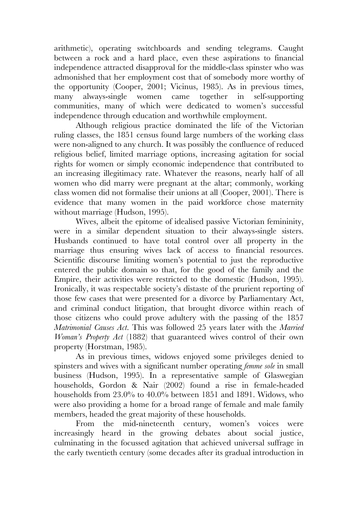arithmetic), operating switchboards and sending telegrams. Caught between a rock and a hard place, even these aspirations to financial independence attracted disapproval for the middle-class spinster who was admonished that her employment cost that of somebody more worthy of the opportunity (Cooper, 2001; Vicinus, 1985). As in previous times, many always-single women came together in self-supporting communities, many of which were dedicated to women's successful independence through education and worthwhile employment.

Although religious practice dominated the life of the Victorian ruling classes, the 1851 census found large numbers of the working class were non-aligned to any church. It was possibly the confluence of reduced religious belief, limited marriage options, increasing agitation for social rights for women or simply economic independence that contributed to an increasing illegitimacy rate. Whatever the reasons, nearly half of all women who did marry were pregnant at the altar; commonly, working class women did not formalise their unions at all (Cooper, 2001). There is evidence that many women in the paid workforce chose maternity without marriage (Hudson, 1995).

Wives, albeit the epitome of idealised passive Victorian femininity, were in a similar dependent situation to their always-single sisters. Husbands continued to have total control over all property in the marriage thus ensuring wives lack of access to financial resources. Scientific discourse limiting women's potential to just the reproductive entered the public domain so that, for the good of the family and the Empire, their activities were restricted to the domestic (Hudson, 1995). Ironically, it was respectable society's distaste of the prurient reporting of those few cases that were presented for a divorce by Parliamentary Act, and criminal conduct litigation, that brought divorce within reach of those citizens who could prove adultery with the passing of the 1857 *Matrimonial Causes Act*. This was followed 25 years later with the *Married Woman's Property Act* (1882) that guaranteed wives control of their own property (Horstman, 1985).

As in previous times, widows enjoyed some privileges denied to spinsters and wives with a significant number operating *femme sole* in small business (Hudson, 1995). In a representative sample of Glaswegian households, Gordon & Nair (2002) found a rise in female-headed households from 23.0% to 40.0% between 1851 and 1891. Widows, who were also providing a home for a broad range of female and male family members, headed the great majority of these households.

From the mid-nineteenth century, women's voices were increasingly heard in the growing debates about social justice, culminating in the focussed agitation that achieved universal suffrage in the early twentieth century (some decades after its gradual introduction in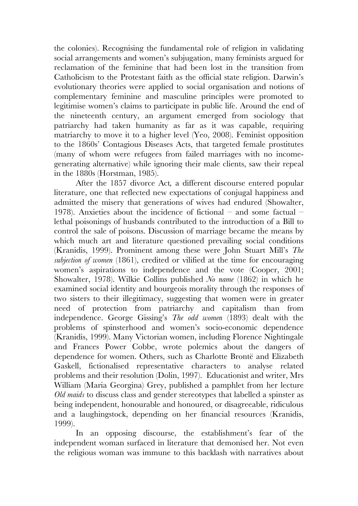the colonies). Recognising the fundamental role of religion in validating social arrangements and women's subjugation, many feminists argued for reclamation of the feminine that had been lost in the transition from Catholicism to the Protestant faith as the official state religion. Darwin's evolutionary theories were applied to social organisation and notions of complementary feminine and masculine principles were promoted to legitimise women's claims to participate in public life. Around the end of the nineteenth century, an argument emerged from sociology that patriarchy had taken humanity as far as it was capable, requiring matriarchy to move it to a higher level (Yeo, 2008). Feminist opposition to the 1860s' Contagious Diseases Acts, that targeted female prostitutes (many of whom were refugees from failed marriages with no incomegenerating alternative) while ignoring their male clients, saw their repeal in the 1880s (Horstman, 1985).

After the 1857 divorce Act*,* a different discourse entered popular literature, one that reflected new expectations of conjugal happiness and admitted the misery that generations of wives had endured (Showalter, 1978). Anxieties about the incidence of fictional – and some factual – lethal poisonings of husbands contributed to the introduction of a Bill to control the sale of poisons. Discussion of marriage became the means by which much art and literature questioned prevailing social conditions (Kranidis, 1999). Prominent among these were John Stuart Mill's *The subjection of women* (1861), credited or vilified at the time for encouraging women's aspirations to independence and the vote (Cooper, 2001; Showalter, 1978). Wilkie Collins published *No name* (1862) in which he examined social identity and bourgeois morality through the responses of two sisters to their illegitimacy, suggesting that women were in greater need of protection from patriarchy and capitalism than from independence. George Gissing's *The odd women* (1893) dealt with the problems of spinsterhood and women's socio-economic dependence (Kranidis, 1999). Many Victorian women, including Florence Nightingale and Frances Power Cobbe, wrote polemics about the dangers of dependence for women. Others, such as Charlotte Brontë and Elizabeth Gaskell, fictionalised representative characters to analyse related problems and their resolution (Dolin, 1997). Educationist and writer, Mrs William (Maria Georgina) Grey, published a pamphlet from her lecture *Old maids* to discuss class and gender stereotypes that labelled a spinster as being independent, honourable and honoured, or disagreeable, ridiculous and a laughingstock, depending on her financial resources (Kranidis, 1999).

In an opposing discourse, the establishment's fear of the independent woman surfaced in literature that demonised her. Not even the religious woman was immune to this backlash with narratives about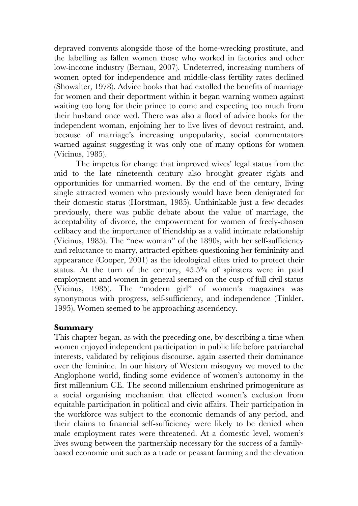depraved convents alongside those of the home-wrecking prostitute, and the labelling as fallen women those who worked in factories and other low-income industry (Bernau, 2007). Undeterred, increasing numbers of women opted for independence and middle-class fertility rates declined (Showalter, 1978). Advice books that had extolled the benefits of marriage for women and their deportment within it began warning women against waiting too long for their prince to come and expecting too much from their husband once wed. There was also a flood of advice books for the independent woman, enjoining her to live lives of devout restraint, and, because of marriage's increasing unpopularity, social commentators warned against suggesting it was only one of many options for women (Vicinus, 1985).

The impetus for change that improved wives' legal status from the mid to the late nineteenth century also brought greater rights and opportunities for unmarried women. By the end of the century, living single attracted women who previously would have been denigrated for their domestic status (Horstman, 1985). Unthinkable just a few decades previously, there was public debate about the value of marriage, the acceptability of divorce, the empowerment for women of freely-chosen celibacy and the importance of friendship as a valid intimate relationship (Vicinus, 1985). The "new woman" of the 1890s, with her self-sufficiency and reluctance to marry, attracted epithets questioning her femininity and appearance (Cooper, 2001) as the ideological elites tried to protect their status. At the turn of the century, 45.5% of spinsters were in paid employment and women in general seemed on the cusp of full civil status (Vicinus, 1985). The "modern girl" of women's magazines was synonymous with progress, self-sufficiency, and independence (Tinkler, 1995). Women seemed to be approaching ascendency.

## **Summary**

This chapter began, as with the preceding one, by describing a time when women enjoyed independent participation in public life before patriarchal interests, validated by religious discourse, again asserted their dominance over the feminine. In our history of Western misogyny we moved to the Anglophone world, finding some evidence of women's autonomy in the first millennium CE. The second millennium enshrined primogeniture as a social organising mechanism that effected women's exclusion from equitable participation in political and civic affairs. Their participation in the workforce was subject to the economic demands of any period, and their claims to financial self-sufficiency were likely to be denied when male employment rates were threatened. At a domestic level, women's lives swung between the partnership necessary for the success of a familybased economic unit such as a trade or peasant farming and the elevation